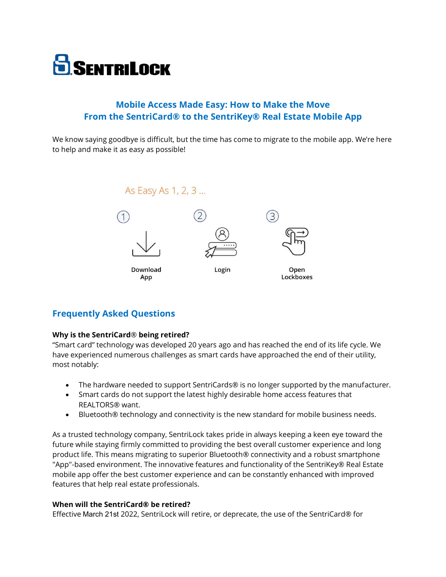

# **Mobile Access Made Easy: How to Make the Move From the SentriCard® to the SentriKey® Real Estate Mobile App**

We know saying goodbye is difficult, but the time has come to migrate to the mobile app. We're here to help and make it as easy as possible!



# **Frequently Asked Questions**

### **Why is the SentriCard**® **being retired?**

"Smart card" technology was developed 20 years ago and has reached the end of its life cycle. We have experienced numerous challenges as smart cards have approached the end of their utility, most notably:

- The hardware needed to support SentriCards® is no longer supported by the manufacturer.
- Smart cards do not support the latest highly desirable home access features that REALTORS® want.
- Bluetooth® technology and connectivity is the new standard for mobile business needs.

As a trusted technology company, SentriLock takes pride in always keeping a keen eye toward the future while staying firmly committed to providing the best overall customer experience and long product life. This means migrating to superior Bluetooth® connectivity and a robust smartphone "App"-based environment. The innovative features and functionality of the SentriKey® Real Estate mobile app offer the best customer experience and can be constantly enhanced with improved features that help real estate professionals.

### **When will the SentriCard® be retired?**

Effective March 21st 2022, SentriLock will retire, or deprecate, the use of the SentriCard® for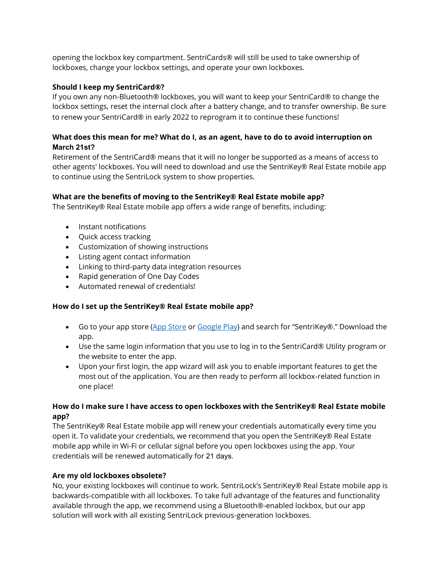opening the lockbox key compartment. SentriCards® will still be used to take ownership of lockboxes, change your lockbox settings, and operate your own lockboxes.

## **Should I keep my SentriCard®?**

If you own any non-Bluetooth® lockboxes, you will want to keep your SentriCard® to change the lockbox settings, reset the internal clock after a battery change, and to transfer ownership. Be sure to renew your SentriCard® in early 2022 to reprogram it to continue these functions!

# **What does this mean for me? What do I, as an agent, have to do to avoid interruption on March 21st?**

Retirement of the SentriCard® means that it will no longer be supported as a means of access to other agents' lockboxes. You will need to download and use the SentriKey® Real Estate mobile app to continue using the SentriLock system to show properties.

# **What are the benefits of moving to the SentriKey® Real Estate mobile app?**

The SentriKey® Real Estate mobile app offers a wide range of benefits, including:

- Instant notifications
- Quick access tracking
- Customization of showing instructions
- Listing agent contact information
- Linking to third-party data integration resources
- Rapid generation of One Day Codes
- Automated renewal of credentials!

# **How do I set up the SentriKey® Real Estate mobile app?**

- Go to your app store [\(App Store](https://apps.apple.com/us/app/sentrismart/id643986446) or [Google Play](https://play.google.com/store/apps/details?id=com.sentrilock.sentrismart&hl=en_US)) and search for "SentriKey®." Download the app.
- Use the same login information that you use to log in to the SentriCard® Utility program or the website to enter the app.
- Upon your first login, the app wizard will ask you to enable important features to get the most out of the application. You are then ready to perform all lockbox-related function in one place!

# **How do I make sure I have access to open lockboxes with the SentriKey® Real Estate mobile app?**

The SentriKey® Real Estate mobile app will renew your credentials automatically every time you open it. To validate your credentials, we recommend that you open the SentriKey® Real Estate mobile app while in Wi-Fi or cellular signal before you open lockboxes using the app. Your credentials will be renewed automatically for 21 days.

# **Are my old lockboxes obsolete?**

No, your existing lockboxes will continue to work. SentriLock's SentriKey® Real Estate mobile app is backwards-compatible with all lockboxes. To take full advantage of the features and functionality available through the app, we recommend using a Bluetooth®-enabled lockbox, but our app solution will work with all existing SentriLock previous-generation lockboxes.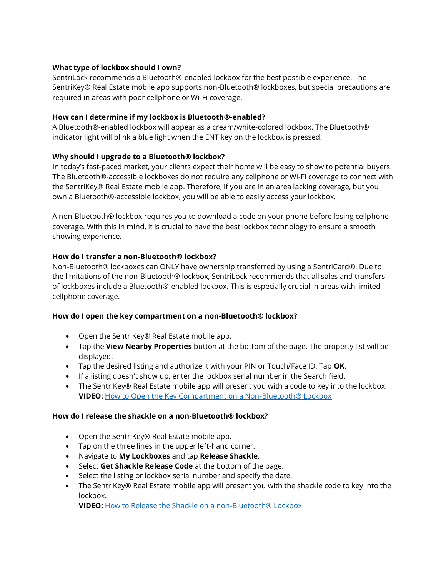## **What type of lockbox should I own?**

SentriLock recommends a Bluetooth®-enabled lockbox for the best possible experience. The SentriKey® Real Estate mobile app supports non-Bluetooth® lockboxes, but special precautions are required in areas with poor cellphone or Wi-Fi coverage.

## **How can I determine if my lockbox is Bluetooth®-enabled?**

A Bluetooth®-enabled lockbox will appear as a cream/white-colored lockbox. The Bluetooth® indicator light will blink a blue light when the ENT key on the lockbox is pressed.

# **Why should I upgrade to a Bluetooth® lockbox?**

In today's fast-paced market, your clients expect their home will be easy to show to potential buyers. The Bluetooth®-accessible lockboxes do not require any cellphone or Wi-Fi coverage to connect with the SentriKey® Real Estate mobile app. Therefore, if you are in an area lacking coverage, but you own a Bluetooth®-accessible lockbox, you will be able to easily access your lockbox.

A non-Bluetooth® lockbox requires you to download a code on your phone before losing cellphone coverage. With this in mind, it is crucial to have the best lockbox technology to ensure a smooth showing experience.

## **How do I transfer a non-Bluetooth® lockbox?**

Non-Bluetooth® lockboxes can ONLY have ownership transferred by using a SentriCard®. Due to the limitations of the non-Bluetooth® lockbox, SentriLock recommends that all sales and transfers of lockboxes include a Bluetooth®-enabled lockbox. This is especially crucial in areas with limited cellphone coverage.

### **How do I open the key compartment on a non-Bluetooth® lockbox?**

- Open the SentriKey® Real Estate mobile app.
- Tap the **View Nearby Properties** button at the bottom of the page. The property list will be displayed.
- Tap the desired listing and authorize it with your PIN or Touch/Face ID. Tap **OK**.
- If a listing doesn't show up, enter the lockbox serial number in the Search field.
- The SentriKey® Real Estate mobile app will present you with a code to key into the lockbox. **VIDEO:** [How to Open the Key Compartment on a Non-Bluetooth® Lockbox](https://vimeo.com/369588474)

### **How do I release the shackle on a non-Bluetooth® lockbox?**

- Open the SentriKey® Real Estate mobile app.
- Tap on the three lines in the upper left-hand corner.
- Navigate to **My Lockboxes** and tap **Release Shackle**.
- Select **Get Shackle Release Code** at the bottom of the page.
- Select the listing or lockbox serial number and specify the date.
- The SentriKey® Real Estate mobile app will present you with the shackle code to key into the lockbox.

**VIDEO:** [How to Release the Shackle on a non-Bluetooth® Lockbox](https://vimeo.com/369591081)